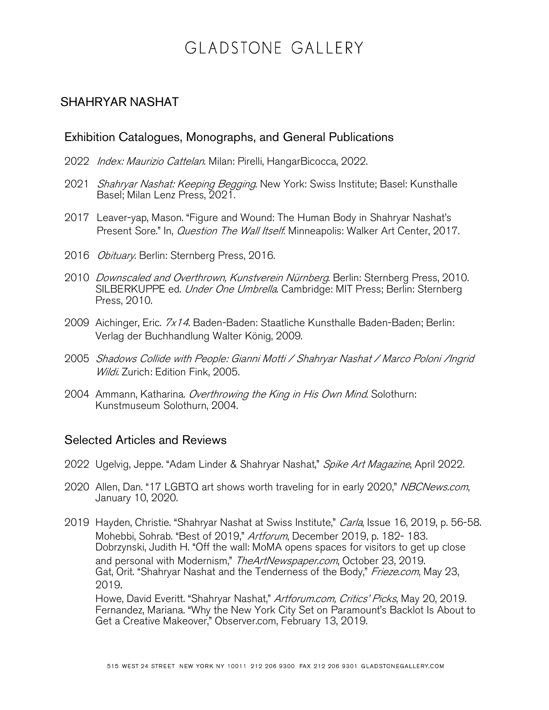## GLADSTONE GALLERY

## SHAHRYAR NASHAT

## Exhibition Catalogues, Monographs, and General Publications

- 2022 *Index: Maurizio Cattelan*. Milan: Pirelli, HangarBicocca, 2022.
- 2021 Shahryar Nashat: Keeping Begging. New York: Swiss Institute; Basel: Kunsthalle Basel; Milan Lenz Press, 2021.
- 2017 Leaver-yap, Mason. "Figure and Wound: The Human Body in Shahryar Nashat's Present Sore." In, *Question The Wall Itself*. Minneapolis: Walker Art Center, 2017.
- 2016 *Obituary*. Berlin: Sternberg Press, 2016.
- 2010 Downscaled and Overthrown, Kunstverein Nürnberg. Berlin: Sternberg Press, 2010. SILBERKUPPE ed. Under One Umbrella. Cambridge: MIT Press; Berlin: Sternberg Press, 2010.
- 2009 Aichinger, Eric. 7x14. Baden-Baden: Staatliche Kunsthalle Baden-Baden; Berlin: Verlag der Buchhandlung Walter König, 2009.
- 2005 Shadows Collide with People: Gianni Motti / Shahryar Nashat / Marco Poloni /Ingrid Wildi. Zurich: Edition Fink, 2005.
- 2004 Ammann, Katharina. Overthrowing the King in His Own Mind. Solothurn: Kunstmuseum Solothurn, 2004.

## Selected Articles and Reviews

- 2022 Ugelvig, Jeppe. "Adam Linder & Shahryar Nashat," Spike Art Magazine, April 2022.
- 2020 Allen, Dan. "17 LGBTQ art shows worth traveling for in early 2020," NBCNews.com, January 10, 2020.
- 2019 Hayden, Christie. "Shahryar Nashat at Swiss Institute," Carla, Issue 16, 2019, p. 56-58. Mohebbi, Sohrab. "Best of 2019," Artforum, December 2019, p. 182- 183. Dobrzynski, Judith H. "Off the wall: MoMA opens spaces for visitors to get up close and personal with Modernism," The ArtNewspaper.com, October 23, 2019. Gat, Orit. "Shahryar Nashat and the Tenderness of the Body," Frieze.com, May 23, 2019.

Howe, David Everitt. "Shahryar Nashat," Artforum.com, Critics' Picks, May 20, 2019. Fernandez, Mariana. "Why the New York City Set on Paramount's Backlot Is About to Get a Creative Makeover," Observer.com, February 13, 2019.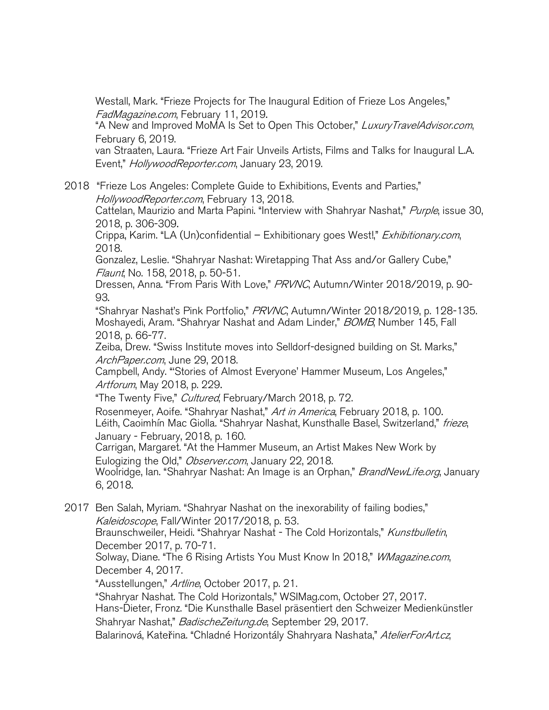Westall, Mark. "Frieze Projects for The Inaugural Edition of Frieze Los Angeles," FadMagazine.com, February 11, 2019.

"A New and Improved MoMA Is Set to Open This October," Luxury TravelAdvisor.com, February 6, 2019.

van Straaten, Laura. "Frieze Art Fair Unveils Artists, Films and Talks for Inaugural L.A. Event," HollywoodReporter.com, January 23, 2019.

2018 "Frieze Los Angeles: Complete Guide to Exhibitions, Events and Parties," HollywoodReporter.com, February 13, 2018.

Cattelan, Maurizio and Marta Papini. "Interview with Shahryar Nashat," Purple, issue 30, 2018, p. 306-309.

Crippa, Karim. "LA (Un)confidential – Exhibitionary goes West!," Exhibitionary.com, 2018.

Gonzalez, Leslie. "Shahryar Nashat: Wiretapping That Ass and/or Gallery Cube," Flaunt, No. 158, 2018, p. 50-51.

Dressen, Anna. "From Paris With Love," PRVNC, Autumn/Winter 2018/2019, p. 90-93.

"Shahryar Nashat's Pink Portfolio," PRVNC, Autumn/Winter 2018/2019, p. 128-135. Moshayedi, Aram. "Shahryar Nashat and Adam Linder," BOMB, Number 145, Fall 2018, p. 66-77.

Zeiba, Drew. "Swiss Institute moves into Selldorf-designed building on St. Marks," ArchPaper.com, June 29, 2018.

Campbell, Andy. "'Stories of Almost Everyone' Hammer Museum, Los Angeles," Artforum, May 2018, p. 229.

"The Twenty Five," *Cultured*, February/March 2018, p. 72. Rosenmeyer, Aoife. "Shahryar Nashat," Art in America, February 2018, p. 100. Léith, Caoimhín Mac Giolla. "Shahryar Nashat, Kunsthalle Basel, Switzerland," frieze,

January - February, 2018, p. 160.

Carrigan, Margaret. "At the Hammer Museum, an Artist Makes New Work by Eulogizing the Old," *Observer.com*, January 22, 2018.

Woolridge, Ian. "Shahryar Nashat: An Image is an Orphan," BrandNewLife.org, January 6, 2018.

2017 Ben Salah, Myriam. "Shahryar Nashat on the inexorability of failing bodies," Kaleidoscope, Fall/Winter 2017/2018, p. 53.

Braunschweiler, Heidi. "Shahryar Nashat - The Cold Horizontals," Kunstbulletin, December 2017, p. 70-71.

Solway, Diane. "The 6 Rising Artists You Must Know In 2018," *WMagazine.com*, December 4, 2017.

"Ausstellungen," Artline, October 2017, p. 21.

"Shahryar Nashat. The Cold Horizontals," WSIMag.com, October 27, 2017. Hans-Dieter, Fronz. "Die Kunsthalle Basel präsentiert den Schweizer Medienkünstler Shahryar Nashat," BadischeZeitung.de, September 29, 2017.

Balarinová, Kateřina. "Chladné Horizontály Shahryara Nashata," AtelierForArt.cz,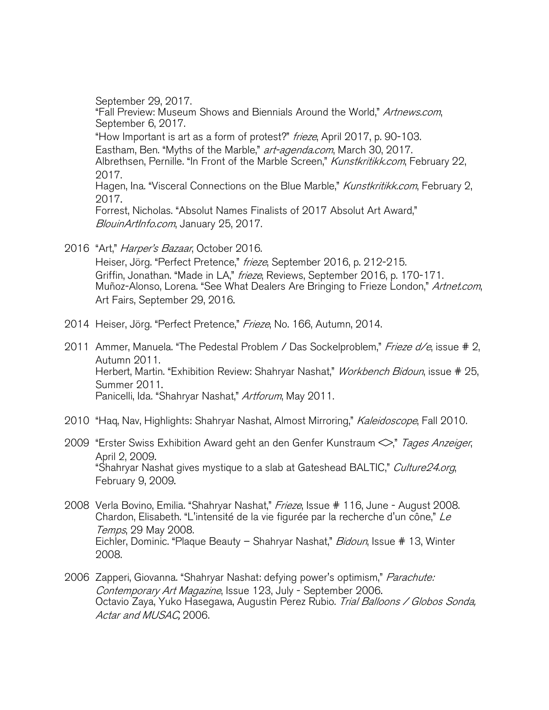September 29, 2017. "Fall Preview: Museum Shows and Biennials Around the World," Artnews.com, September 6, 2017. "How Important is art as a form of protest?" frieze, April 2017, p. 90-103. Eastham, Ben. "Myths of the Marble," art-agenda.com, March 30, 2017. Albrethsen, Pernille. "In Front of the Marble Screen," Kunstkritikk.com, February 22, 2017. Hagen, Ina. "Visceral Connections on the Blue Marble," Kunstkritikk.com, February 2, 2017. Forrest, Nicholas. "Absolut Names Finalists of 2017 Absolut Art Award," BlouinArtInfo.com, January 25, 2017.

- 2016 "Art," Harper's Bazaar, October 2016. Heiser, Jörg. "Perfect Pretence," frieze, September 2016, p. 212-215. Griffin, Jonathan. "Made in LA," frieze, Reviews, September 2016, p. 170-171. Muñoz-Alonso, Lorena. "See What Dealers Are Bringing to Frieze London," Artnet.com,
	- Art Fairs, September 29, 2016.
- 2014 Heiser, Jörg. "Perfect Pretence," Frieze, No. 166, Autumn, 2014.
- 2011 Ammer, Manuela. "The Pedestal Problem / Das Sockelproblem," Frieze d/e, issue # 2, Autumn 2011. Herbert, Martin. "Exhibition Review: Shahryar Nashat," *Workbench Bidoun*, issue # 25, Summer 2011. Panicelli, Ida. "Shahryar Nashat," Artforum, May 2011.
- 2010 "Hag, Nav, Highlights: Shahryar Nashat, Almost Mirroring," Kaleidoscope, Fall 2010.
- 2009 "Erster Swiss Exhibition Award geht an den Genfer Kunstraum  $\leq$ ," Tages Anzeiger, April 2, 2009. "Shahryar Nashat gives mystique to a slab at Gateshead BALTIC," Culture24.org, February 9, 2009.
- 2008 Verla Bovino, Emilia. "Shahryar Nashat," Frieze, Issue # 116, June August 2008. Chardon, Elisabeth. "L'intensité de la vie figurée par la recherche d'un cône," Le Temps, 29 May 2008. Eichler, Dominic. "Plaque Beauty – Shahryar Nashat," Bidoun, Issue # 13, Winter 2008.
- 2006 Zapperi, Giovanna. "Shahryar Nashat: defying power's optimism," Parachute: Contemporary Art Magazine, Issue 123, July - September 2006. Octavio Zaya, Yuko Hasegawa, Augustin Perez Rubio. Trial Balloons / Globos Sonda, Actar and MUSAC, 2006.